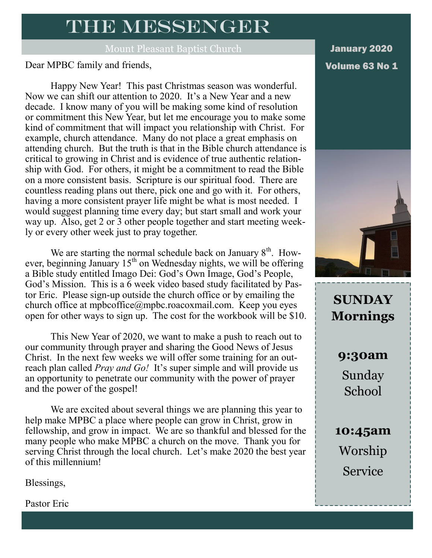### THE MESSENGER

Mount Pleasant Baptist Church

Dear MPBC family and friends, No 1 and 1 and 1 and 1 and 1 and 1 and 1 and 1 and 1 and 1 and 1 and 1 and 1 and 1 and 1 and 1 and 1 and 1 and 1 and 1 and 1 and 1 and 1 and 1 and 1 and 1 and 1 and 1 and 1 and 1 and 1 and 1 a

Happy New Year! This past Christmas season was wonderful. Now we can shift our attention to 2020. It's a New Year and a new decade. I know many of you will be making some kind of resolution or commitment this New Year, but let me encourage you to make some kind of commitment that will impact you relationship with Christ. For example, church attendance. Many do not place a great emphasis on attending church. But the truth is that in the Bible church attendance is critical to growing in Christ and is evidence of true authentic relationship with God. For others, it might be a commitment to read the Bible on a more consistent basis. Scripture is our spiritual food. There are countless reading plans out there, pick one and go with it. For others, having a more consistent prayer life might be what is most needed. I would suggest planning time every day; but start small and work your way up. Also, get 2 or 3 other people together and start meeting weekly or every other week just to pray together.

We are starting the normal schedule back on January  $8<sup>th</sup>$ . However, beginning January  $15<sup>th</sup>$  on Wednesday nights, we will be offering a Bible study entitled Imago Dei: God's Own Image, God's People, God's Mission. This is a 6 week video based study facilitated by Pastor Eric. Please sign-up outside the church office or by emailing the church office at [mpbcoffice@mpbc.roacoxmail.com.](mailto:mpbcoffice@mpbc.roacoxnail.com) Keep you eyes open for other ways to sign up. The cost for the workbook will be \$10.

This New Year of 2020, we want to make a push to reach out to our community through prayer and sharing the Good News of Jesus Christ. In the next few weeks we will offer some training for an outreach plan called *Pray and Go!* It's super simple and will provide us an opportunity to penetrate our community with the power of prayer and the power of the gospel!

We are excited about several things we are planning this year to help make MPBC a place where people can grow in Christ, grow in fellowship, and grow in impact. We are so thankful and blessed for the many people who make MPBC a church on the move. Thank you for serving Christ through the local church. Let's make 2020 the best year of this millennium!

Blessings,

Pastor Eric

January 2020



**SUNDAY Mornings**

> **9:30am** Sunday School

**10:45am** Worship Service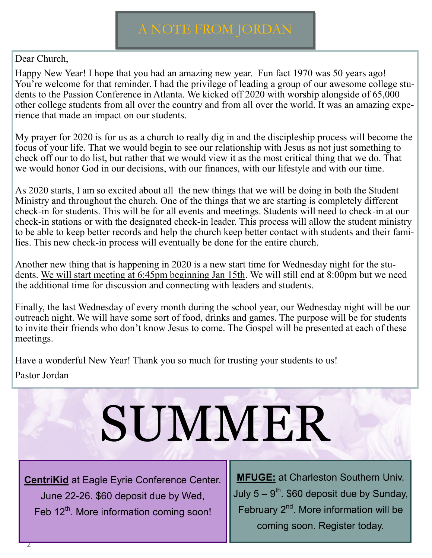### Dear Church,

Happy New Year! I hope that you had an amazing new year. Fun fact 1970 was 50 years ago! You're welcome for that reminder. I had the privilege of leading a group of our awesome college students to the Passion Conference in Atlanta. We kicked off 2020 with worship alongside of 65,000 other college students from all over the country and from all over the world. It was an amazing experience that made an impact on our students.

My prayer for 2020 is for us as a church to really dig in and the discipleship process will become the focus of your life. That we would begin to see our relationship with Jesus as not just something to check off our to do list, but rather that we would view it as the most critical thing that we do. That we would honor God in our decisions, with our finances, with our lifestyle and with our time.

As 2020 starts, I am so excited about all the new things that we will be doing in both the Student Ministry and throughout the church. One of the things that we are starting is completely different check-in for students. This will be for all events and meetings. Students will need to check-in at our check-in stations or with the designated check-in leader. This process will allow the student ministry to be able to keep better records and help the church keep better contact with students and their families. This new check-in process will eventually be done for the entire church.

Another new thing that is happening in 2020 is a new start time for Wednesday night for the students. We will start meeting at 6:45pm beginning Jan 15th. We will still end at 8:00pm but we need the additional time for discussion and connecting with leaders and students.

Finally, the last Wednesday of every month during the school year, our Wednesday night will be our outreach night. We will have some sort of food, drinks and games. The purpose will be for students to invite their friends who don't know Jesus to come. The Gospel will be presented at each of these meetings.

Have a wonderful New Year! Thank you so much for trusting your students to us! Pastor Jordan

# SUMMER

**CentriKid** at Eagle Eyrie Conference Center. June 22-26. \$60 deposit due by Wed, Feb 12<sup>th</sup>. More information coming soon!

**MFUGE:** at Charleston Southern Univ. July 5 –  $9^\text{th}$ . \$60 deposit due by Sunday, February  $2<sup>nd</sup>$ . More information will be coming soon. Register today.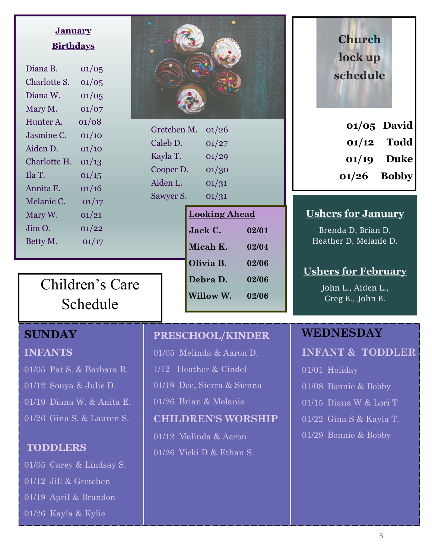### **January Birthdays**

| Diana B.     | 01/05 |
|--------------|-------|
| Charlotte S. | 01/05 |
| Diana W.     | 01/05 |
| Mary M.      | 01/07 |
| Hunter A.    | 01/08 |
| Jasmine C.   | 01/10 |
| Aiden D.     | 01/10 |
| Charlotte H. | 01/13 |
| Ila T.       | 01/15 |
| Annita E.    | 01/16 |
| Melanie C.   | 01/17 |
| Mary W.      | 01/21 |
| Jim O.       | 01/22 |
| Betty M.     | 01/17 |
|              |       |



Gretchen M. 01/26 Caleb D.  $01/27$ Kayla T. 01/29 Cooper D.  $01/30$ Aiden L. 01/31 Sawyer S.  $01/31$ 

| <b>Looking Ahead</b> |       |
|----------------------|-------|
| Jack C.              | 02/01 |
| Micah K.             | 02/04 |
| Olivia B.            | 02/06 |
| Debra D.             | 02/06 |
| Willow W.            | 02/06 |

## Children's Care

### Schedule

### **SUNDAY**

#### **INFANTS**

01/05 Pat S. & Barbara R. 01/12 Sonya & Julie D. 01/19 Diana W. & Anita E. 01/26 Gina S. & Lauren S.

#### **TODDLERS**

01/05 Carey & Lindsay S. 01/12 Jill & Gretchen 01/19 April & Brandon 01/26 Kayla & Kylie

### **PRESCHOOL/KINDER**

- 01/05 Melinda & Aaron D.
- 1/12 Heather & Cindel
- 01/19 Dee, Sierra & Sienna
- 01/26 Brian & Melanie

#### **CHILDREN'S WORSHIP**

01/12 Melinda & Aaron  $\overline{01/26}$  Vicki D & Ethan S.

## **Church lock up schedule**

|       | $01/05$ David |
|-------|---------------|
| 01/12 | <b>Todd</b>   |
| 01/19 | <b>Duke</b>   |
| 01/26 | <b>Bobby</b>  |

### **Ushers for January**

Brenda D, Brian D, Heather D, Melanie D.

### **Ushers for February**

John L., Aiden L., Greg B., John B.

### **WEDNESDAY**

**INFANT & TODDLER**

01/01 Holiday 01/08 Bonnie & Bobby 01/15 Diana W & Lori T. 01/22 Gina S & Kayla T. 01/29 Bonnie & Bobby